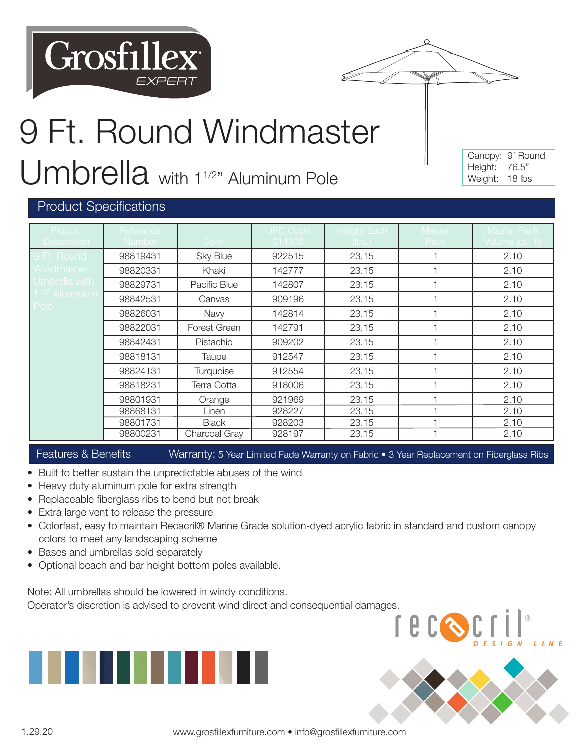



## 9 Ft. Round Windmaster Umbrella with 1<sup>1/2</sup>" Aluminum Pole

Canopy: 9' Round Height: 76.5" Weight: 18 lbs

U

## Product Specifications

| Product                            | Reference |               | <b>UPC Code</b> | Weight Each | Master | <b>Master Pack</b> |
|------------------------------------|-----------|---------------|-----------------|-------------|--------|--------------------|
| <b>Description</b>                 | Number    | Color         | 014306          | (lbs.)      | Pack   | Volume (cu. ft)    |
| 9 Ft. Round                        | 98819431  | Sky Blue      | 922515          | 23.15       |        | 2.10               |
| Windmaster                         | 98820331  | Khaki         | 142777          | 23.15       |        | 2.10               |
| Umbrella with                      | 98829731  | Pacific Blue  | 142807          | 23.15       |        | 2.10               |
| 1 <sup>1/2"</sup> Aluminum<br>Pole | 98842531  | Canvas        | 909196          | 23.15       |        | 2.10               |
|                                    | 98826031  | Navy          | 142814          | 23.15       |        | 2.10               |
|                                    | 98822031  | Forest Green  | 142791          | 23.15       |        | 2.10               |
|                                    | 98842431  | Pistachio     | 909202          | 23.15       |        | 2.10               |
|                                    | 98818131  | Taupe         | 912547          | 23.15       |        | 2.10               |
|                                    | 98824131  | Turquoise     | 912554          | 23.15       |        | 2.10               |
|                                    | 98818231  | Terra Cotta   | 918006          | 23.15       |        | 2.10               |
|                                    | 98801931  | Orange        | 921969          | 23.15       |        | 2.10               |
|                                    | 98868131  | Linen         | 928227          | 23.15       |        | 2.10               |
|                                    | 98801731  | <b>Black</b>  | 928203          | 23.15       |        | 2.10               |
|                                    | 98800231  | Charcoal Gray | 928197          | 23.15       |        | 2.10               |

Features & Benefits Warranty: 5 Year Limited Fade Warranty on Fabric • 3 Year Replacement on Fiberglass Ribs

- Built to better sustain the unpredictable abuses of the wind
- Heavy duty aluminum pole for extra strength
- Replaceable fiberglass ribs to bend but not break
- Extra large vent to release the pressure
- Colorfast, easy to maintain Recacril® Marine Grade solution-dyed acrylic fabric in standard and custom canopy colors to meet any landscaping scheme
- Bases and umbrellas sold separately
- Optional beach and bar height bottom poles available.

Note: All umbrellas should be lowered in windy conditions.

Operator's discretion is advised to prevent wind direct and consequential damages.